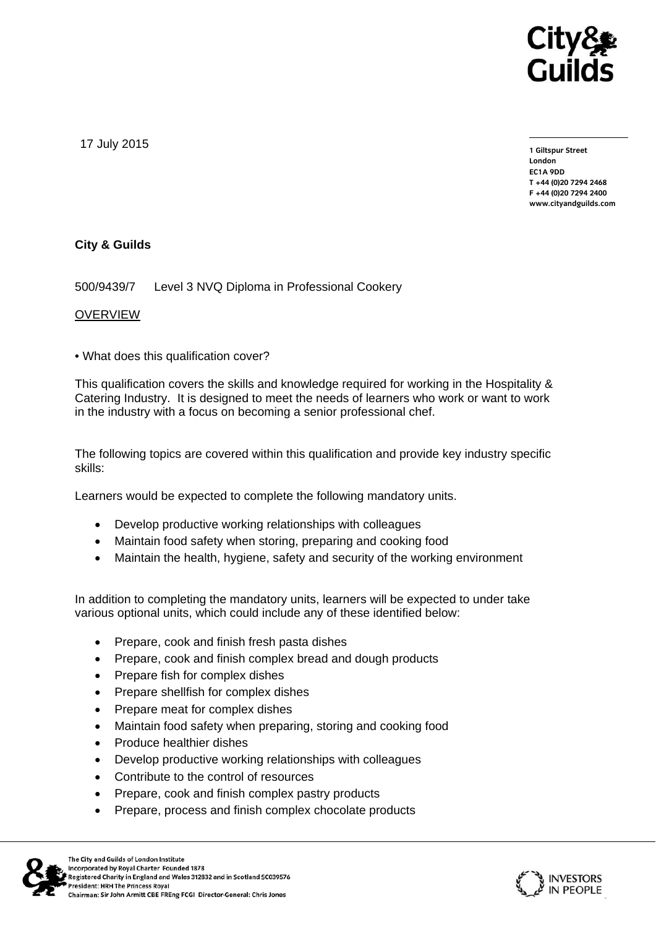

17 July 2015

**1 Giltspur Street London EC1A 9DD T +44 (0)20 7294 2468 F +44 (0)20 7294 2400 www.cityandguilds.com** 

## **City & Guilds**

500/9439/7 Level 3 NVQ Diploma in Professional Cookery

## OVERVIEW

• What does this qualification cover?

This qualification covers the skills and knowledge required for working in the Hospitality & Catering Industry. It is designed to meet the needs of learners who work or want to work in the industry with a focus on becoming a senior professional chef.

The following topics are covered within this qualification and provide key industry specific skills:

Learners would be expected to complete the following mandatory units.

- Develop productive working relationships with colleagues
- Maintain food safety when storing, preparing and cooking food
- Maintain the health, hygiene, safety and security of the working environment

In addition to completing the mandatory units, learners will be expected to under take various optional units, which could include any of these identified below:

- Prepare, cook and finish fresh pasta dishes
- Prepare, cook and finish complex bread and dough products
- Prepare fish for complex dishes
- Prepare shellfish for complex dishes
- Prepare meat for complex dishes
- Maintain food safety when preparing, storing and cooking food
- Produce healthier dishes
- Develop productive working relationships with colleagues
- Contribute to the control of resources
- Prepare, cook and finish complex pastry products
- Prepare, process and finish complex chocolate products



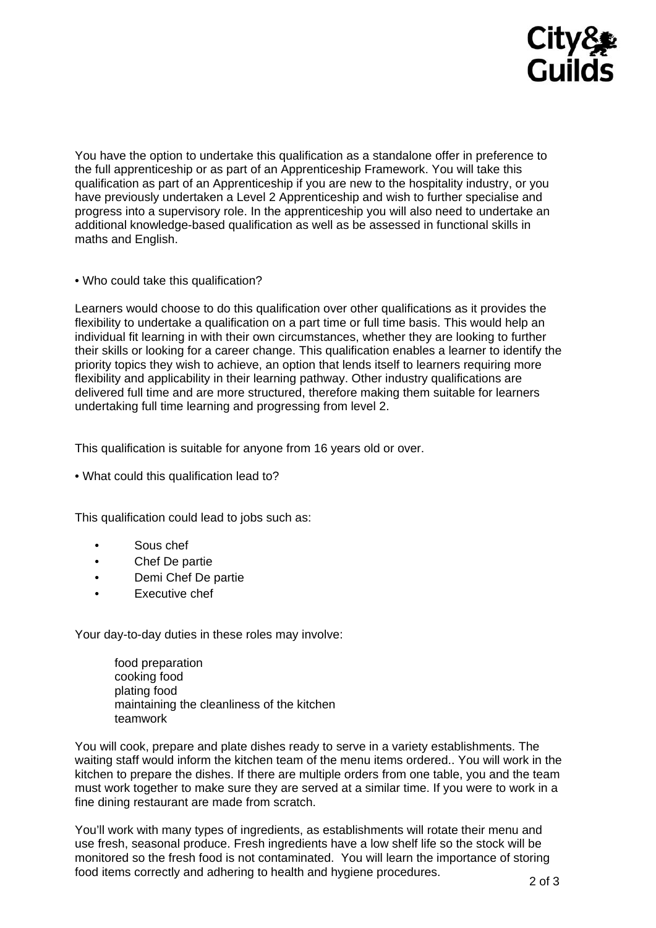

You have the option to undertake this qualification as a standalone offer in preference to the full apprenticeship or as part of an Apprenticeship Framework. You will take this qualification as part of an Apprenticeship if you are new to the hospitality industry, or you have previously undertaken a Level 2 Apprenticeship and wish to further specialise and progress into a supervisory role. In the apprenticeship you will also need to undertake an additional knowledge-based qualification as well as be assessed in functional skills in maths and English.

• Who could take this qualification?

Learners would choose to do this qualification over other qualifications as it provides the flexibility to undertake a qualification on a part time or full time basis. This would help an individual fit learning in with their own circumstances, whether they are looking to further their skills or looking for a career change. This qualification enables a learner to identify the priority topics they wish to achieve, an option that lends itself to learners requiring more flexibility and applicability in their learning pathway. Other industry qualifications are delivered full time and are more structured, therefore making them suitable for learners undertaking full time learning and progressing from level 2.

This qualification is suitable for anyone from 16 years old or over.

• What could this qualification lead to?

This qualification could lead to jobs such as:

- Sous chef
- Chef De partie
- Demi Chef De partie
- Executive chef

Your day-to-day duties in these roles may involve:

food preparation cooking food plating food maintaining the cleanliness of the kitchen teamwork

You will cook, prepare and plate dishes ready to serve in a variety establishments. The waiting staff would inform the kitchen team of the menu items ordered.. You will work in the kitchen to prepare the dishes. If there are multiple orders from one table, you and the team must work together to make sure they are served at a similar time. If you were to work in a fine dining restaurant are made from scratch.

You'll work with many types of ingredients, as establishments will rotate their menu and use fresh, seasonal produce. Fresh ingredients have a low shelf life so the stock will be monitored so the fresh food is not contaminated. You will learn the importance of storing food items correctly and adhering to health and hygiene procedures.